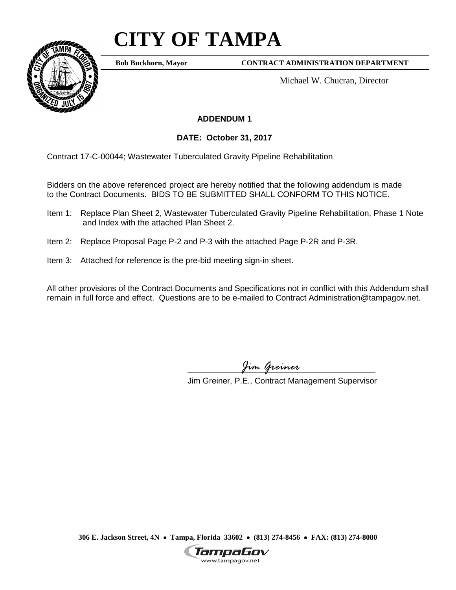# **CITY OF TAMPA**



**Bob Buckhorn, Mayor**

**CONTRACT ADMINISTRATION DEPARTMENT**

Michael W. Chucran, Director

### **ADDENDUM 1**

**DATE: October 31, 2017**

Contract 17-C-00044; Wastewater Tuberculated Gravity Pipeline Rehabilitation

Bidders on the above referenced project are hereby notified that the following addendum is made to the Contract Documents. BIDS TO BE SUBMITTED SHALL CONFORM TO THIS NOTICE.

- Item 1: Replace Plan Sheet 2, Wastewater Tuberculated Gravity Pipeline Rehabilitation, Phase 1 Note and Index with the attached Plan Sheet 2.
- Item 2: Replace Proposal Page P-2 and P-3 with the attached Page P-2R and P-3R.
- Item 3: Attached for reference is the pre-bid meeting sign-in sheet.

All other provisions of the Contract Documents and Specifications not in conflict with this Addendum shall remain in full force and effect. Questions are to be e-mailed to Contract Administration@tampagov.net.

*Jim Greiner*

Jim Greiner, P.E., Contract Management Supervisor

**306 E. Jackson Street, 4N** • **Tampa, Florida 33602** • **(813) 274-8456** • **FAX: (813) 274-8080**

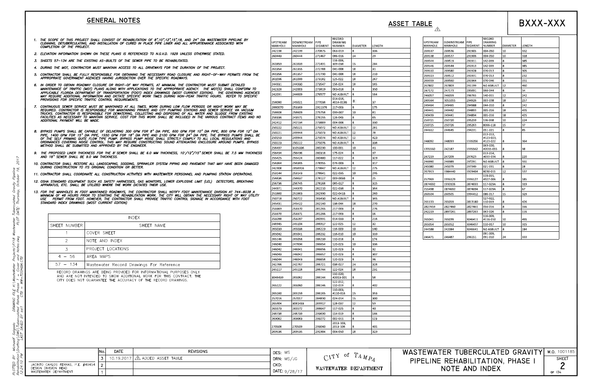## **GENERAL NOTES**

**ASSET TABLE** 

- THE SCOPE OF THIS PROJECT SHALL CONSIST OF REHABILITATION OF 8",10",12",15",18, AND 24" DIA WASTEWATER PIPELINE BY  $\mathbf{1}$ CLEANING, DETUBERCULATING, AND INSTALLATION OF CURED IN PLACE PIPE LINER AND ALL APPURTENANCE ASSOCIATED WITH COMPLETION OF THE PROJECT.
- 2. ELEVATION INFORMATION SHOWN ON THESE PLANS IS REFERENCED TO N.G.V.D. 1929 UNLESS OTHERWISE STATED.
- 3. SHEETS 57-134 ARE THE EXISTING AS-BUILTS OF THE SEWER PIPE TO BE REHABILITATED.
- 4. DURING THE MOT, CONTRACTOR MUST MAINTAIN ACCESS TO ALL DRIVEWAYS FOR THE DURATION OF THE PROJECT.
- 5. CONTRACTOR SHALL BE FULLY RESPONSIBLE FOR OBTAINING THE NECESSARY ROAD CLOSURE AND RIGHT-OF-WAY PERMITS FROM THE APPROPRIATE GOVERNMENT AGENCIES HAVING JURISDICTION OVER THE SPECIFIC ROADWAYS.
- 6. IN ORDER TO OBTAIN ROADWAY CLOSURE OR RIGHT-OF WAY PERMITS, AT MINIMUM, THE CONTRACTOR MUST SUBMIT DETAILED MAINTENANCE OF TRAFFIC (MOT) PLANS ALONG WITH APPLICATIONS TO THE APPROPRIATE AGENCY. THE MOT(S) SHALL CONFORM TO APPLICABLE FLORIDA DEPARTMENT OF TRANSPORTATION (FDOT) INDEX DRAWINGS (MOST CURRENT EDITION). THE GOVERNING AGENCIES MAY REQUIRE ADDITIONAL INFORMATION AND DICTATE SPECIFIC WORK TIMES DURING NON-PEAK TRAFFIC HOURS. REFER TO SPECIFIC PROVISIONS FOR SPECIFIC TRAFFIC CONTROL REQUIREMENTS.
- 7. CONTINUOUS SEWER SERVICE MUST BE MAINTAINED AT ALL TIMES. WORK DURING LOW FLOW PERIODS OR NIGHT WORK MAY BE<br>REQUIRED. CONTRACTOR IS RESPONSIBLE FOR MAINTAINING PRIVATE AND CITY PUMPING STATIONS AND SEWER SERVICE VIA VAC FACILITIES AS NECESSARY TO MAINTAIN SERVICE. COST FOR THIS WORK SHALL BE INCLUDED IN THE VARIOUS CONTRACT ITEMS AND NO ADDITIONAL PAYMENT WILL BE MADE.
- 8. BYPASS PUMPS SHALL BE CAPABLE OF DELIVERING 300 GPM FOR 8" DIA PIPE, 600 GPM FOR 10" DIA PIPE, 800 GPM FOR 12" DIA PIPE, 1400 GPM FOR 15" DIA PIPE, 1550 GPM FOR 18" DIA PIPE AND 2100 GPM FOR 24" DIA PIPE. THE BYPASS PUMPS SHALL BE OF THE SELF PRIMING QUITE FLOW TYPE PUMP. BYPASS PUMP NOISE SHALL STRICTLY COMPLY TO ALL LOCAL REGULATIONS AND ORDINANCES COVERING NOISE CONTROL. THIS MAY REQUIRE CONSTRUCTING SOUND ATTENUATING ENCLOSURE AROUND PUMPS. BYPASS<br>METHOD SHALL BE SUBMITTED AND APPROVED BY THE ENGINEER.
- 9. THE PROPOSED LINER THICKNESS FOR THE 8"SEWER SHALL BE 6.0 MM THICKNESS, 10"/12"/15" SEWER SHALL BE 7.5 MM THICKNESS AND 18" SEWER SHALL BE 9.0 MM THICKNESS.
- 10. CONTRACTOR SHALL RESTORE ALL LANDSCAPING, SODDING, SPRINKLER SYSTEM PIPING AND PAVEMENT THAT MAY HAVE BEEN DAMAGED DURING CONSTRUCTION TO ITS ORIGINAL CONDITION OR BETTER.
- 11. CONTRACTOR SHALL COORDINATE ALL CONSTRUCTION ACTIVITIES WITH WASTEWATER PERSONNEL AND PUMPING STATION OPERATIONS.
- 12. OSHA STANDARD EQUIPMENT SUCH AS SAFETY HARNESSES, GAS MONITORS, LOWER EXPLOSIVE LIMIT (LEL) DETECTORS, BREATHING<br>APPARATUS, ETC. SHALL BE UTILIZED WHERE THE WORK DICTATES THEIR USE.
- 13. FOR THE MANHOLES IN FDOT MAINTAINED ROADWAYS, THE CONTRACTOR SHALL NOTIFY FDOT MAINTENANCE DIVISION AT 744-6038 A<br>MINIMUM OF 48 HOURS PRIOR TO STARTING THE REHABILITATION WORK. THE CITY WILL OBTAIN THE NECESSARY RIGHT STANDARD INDEX DRAWINGS (MOST CURRENT EDITION)

|              | <b>INDEX</b>                             |  |  |  |  |  |  |
|--------------|------------------------------------------|--|--|--|--|--|--|
| SHEET NUMBER | SHEET NAME                               |  |  |  |  |  |  |
|              | COVER SHEET                              |  |  |  |  |  |  |
|              | NOTE AND INDEX                           |  |  |  |  |  |  |
|              | PROJECT LOCATIONS                        |  |  |  |  |  |  |
| $4 - 56$     | ARFA MAPS                                |  |  |  |  |  |  |
| $57 - 134$   | Wastewater Record Drawings For Reference |  |  |  |  |  |  |

RECORD DRAWINGS ARE BEING PROVIDED FOR INFORMATIONAL PURPOSES ONLY AND ARE NOT INTENDED TO SHOW ADDITIONAL WORK FOR THIS CONTRACT. THE CITY DOES NOT GUARANTEE THE ACCURACY OF THE RECORD DRAWINGS.

| <b>UPSTREAM</b><br>MANHOLE | DOWNSTREAM<br>MANHOLE | PIPE<br>SEGMENT | RECORD<br><b>DRAWING</b><br><b>NUMBER</b> | DIAMETER | LENGTH |
|----------------------------|-----------------------|-----------------|-------------------------------------------|----------|--------|
| 242198                     | 242199                | 270875          | 063-019                                   | 8        | 336    |
| 260443                     | 260444                | 271467          | 086-016                                   | 24       | 29     |
| 261859                     | 261839                | 271491          | 116-006,<br>309-038                       | 15       | 284    |
| 261354                     | 261355                | 272788          | 041-008                                   | 18       | 31     |
| 261356                     | 261357                | 272790          | 041-008                                   | 18       | 210    |
| 261096                     | 261099                | 273182          | 125-022                                   | 18       | 267    |
| 244931                     | 244930                | 273547          | 156-024                                   | 18       | 165    |
| 242328                     | 242003                | 273819          | 063-018                                   | 8        | 350    |
| 242091                     | 244609                | 276577          | <b>NO ASBUILT</b>                         | 8        | 164    |
| 258080                     | 245021                | 277038          | 014-016,<br>#014-019B                     | 8        | 37     |
| 2880070                    | 253369                | 2911376         | 217-003                                   | 8        | 175    |
| 258608                     | 258609                | 275758          | 099-007                                   | 10       | 81     |
| 258336                     | 243571                | 276155          | 126-043                                   | 8        | 65     |
| 242412                     | 242134                | 273889          | 004-008                                   | 8        | 330    |
| 250222                     | 250221                | 275072          | <b>NO ASBUILT</b>                         | 12       | 281    |
| 250221                     | 249944                | 275073          | <b>NO ASBUILT</b>                         | 12       | 78     |
| 250153                     | 249944                | 275074          | <b>NO ASBUILT</b>                         | 12       | 423    |
| 250223                     | 250222                | 275076          | <b>NO ASBUILT</b>                         | 8        | 338    |
| 256497                     | 3105336               | 280290          | 100-001                                   | 10       | 41     |
| 256494                     | 256496                | 280318          | 175-024                                   | 8        | 97     |
| 255425                     | 255424                | 280480          | 117-022                                   | 8        | 329    |
|                            |                       | 278955          |                                           |          |        |
| 256364                     | 256365                |                 | 076-003                                   | 8        | 317    |
| 242908                     | 2858916               | 279847          | <b>NO ASBUILT</b>                         | 12       | 275    |
| 253144                     | 253143                | 278641          | 022-035                                   | 10       | 295    |
| 256636                     | 256637                | 278127          | 009-003B                                  | 8        | 25     |
| 256736                     | 256745                | 278168          | 085-017                                   | 8        | 315    |
| 244971                     | 244970                | 282210          | 022-038                                   | 8        | 364    |
| 251860                     | 251863                | 282990          | 022-041B                                  | 8        | 260    |
| 250718                     | 250722                | 283430          | <b>NO ASBUILT</b>                         | 8        | 365    |
| 245431                     | 245422                | 282140          | 138-044                                   | 18       | 270    |
| 253369                     | 253370                | 281265          | 217-003                                   | 8        | 276    |
| 253370                     | 253371                | 281266          | 217-003                                   | 8        | 16     |
| 253288                     | 253287                | 280991          | 014-033                                   | 8        | 216    |
| 248945                     | 245104                | 286917          | 122-025                                   | 12       | 32     |
| 265039                     | 265038                | 286229          | 116-009                                   | 10       | 140    |
| 265042                     | 265041                | 286232          | 116-010                                   | 10       | 339    |
| 265146                     | 265058                | 286239          | 110-018                                   | 8        | 174    |
| 246040                     | 247894                | 286654          | 120-023                                   | 10       | 336    |
| 246042                     | 246041                | 286656          | 120-023                                   | 8        | 32     |
| 246043                     | 246042                | 286657          | 120-023                                   | 8        | 307    |
| 246044                     | 246043                | 286658          | 120-023                                   | 8        | 96     |
| 242766                     | 242767                | 286721          | 038-027                                   | 24       | 328    |
| 245117                     | 245118                | 286744          | 122-024                                   | 18       | 231    |
| 3046439                    | 265062                | 286144          | 110-020,<br>#2013-001                     | 8        | 58     |
| 265122                     | 265060                | 286146          | 122-012,<br>110-019                       | 8        | 402    |
| 265160                     | 265159                | 286165          | 110-003,<br>#110-016                      | 15       | 353    |
|                            |                       | 284890          |                                           | 15       | 300    |
| 257016                     | 257017                |                 | 024-014                                   |          |        |
| 265904                     | 3081433               | 289917          | 128-037                                   | 12       | 59     |
| 265573                     | 265572                | 288647          | 117-025                                   | 8        | 40     |
| 248738                     | 248739                | 293690          | 114-019                                   | 8        | 144    |
| 269062                     | 269063                | 293272          | 002-011                                   | 8        | 123    |
| 270508                     | 270509                | 293040          | 2013-103,<br>2013-106                     | 8        | 401    |
| 269536                     | 269535                | 291904          | 004-050                                   | 18       | 329    |

|                                                                     | INo. | <b>DATE</b>     | <b>REVISIONS</b>             | DES: MS           | ΩŤ                                                                 | WASTEW |
|---------------------------------------------------------------------|------|-----------------|------------------------------|-------------------|--------------------------------------------------------------------|--------|
|                                                                     |      | $10.19.2017$ J. | <u> ∠∆</u> added asset table | DRN: MS/JG        | $\bigcap$ $\bigcap$ <sup><math>\bigcap</math></sup><br>$A M_{D_A}$ | PIPEL. |
| JACINTO CARLOS FERRAS, P.E. $\#49454$   2  <br>DESIGN DIVISION HEAD |      |                 |                              | CKD:              | WASTEWATER DEPARTMENT                                              |        |
| WASTEWATER DEPARTMENT                                               |      |                 |                              | $1$ DATE: 9/28/17 |                                                                    |        |

#### 269537 26953 26954 26954 26951 26951 26955 26780 24717 24605

 $\wedge$ 

24699 24508 26791

255498 260504

26513 282745 24221

26504 26505 244588

24647

# BXXX-XXX

| <b>UPSTREAM</b><br>MANHOLE | <b>DOWNSTREAM</b><br>MANHOLE | <b>PIPE</b><br><b>SEGMENT</b> | RECORD<br><b>DRAWING</b><br><b>NUMBER</b> | <b>DIAMETER</b> | LENGTH |
|----------------------------|------------------------------|-------------------------------|-------------------------------------------|-----------------|--------|
| 269537                     | 269536                       |                               | 004-050                                   | 10              | 332    |
| 269538                     | 269537                       |                               | 004-050                                   | 10              | 318    |
| 269544                     | 269519                       | 291911                        | 142-039                                   | 8               | 385    |
| 269546                     | 269544                       | 291913                        | 142-039                                   | 8               | 385    |
| 269510                     | 269580                       | 291928                        | 070-013                                   | 8               | 305    |
| 269513                     | 269512                       | 291931                        | 070-013                                   | 8               | 232    |
| 269559                     | 269560                       | 291964                        | 070-046                                   | 8               | 151    |
| 267802                     | 267803                       | 291199                        | <b>NO ASBUILT</b>                         | 12              | 460    |
| 247172                     | 247173                       | 295691                        | 066-044                                   | 8               | 34     |
| 246057                     | 246059                       | 296765                        | 140-011                                   | 12              | 242    |
| 249564                     | 3051055                      | 294926                        | 003-038                                   | 18              | 257    |
| 249464                     | 249465                       | 294988                        | 044-010                                   | 8               | 242    |
| 249441                     | 249442                       | 294893                        | 005-016                                   | 18              | 435    |
| 249439                     | 249441                       | 294894                        | 005-016                                   | 18              | 425    |
| 250721                     | 250720                       | 295259                        | 136-038                                   | 10              | 224    |
| 250725                     | 250726                       | 295263                        | B066-118                                  | 15              | 37     |
| 244612                     | 244645                       | 294231                        | 051-021                                   | 8               | 85     |
| 248092                     | 248093                       | 1335056                       | 013-013,<br>#123-023,<br>#123-022         | 8               | 364    |
| 1335560                    | 242187                       | 1335562                       | 063-020.<br>#2015-055                     | 8               | 38     |
| 247219                     | 247209                       | 297623                        | 013-014.<br>#033-034                      | 8               | 220    |
| 246990                     | 246989                       | 297291                        | <b>NO ASBUILT</b>                         | 8               | 331    |
| 245080                     | 245079                       | 297349                        | 021-031                                   | 8               | 28     |
| 267913                     | 1984440                      | 1929464                       | B030-015                                  | 12              | 337    |
| 257969                     | 1936129                      | 1936127                       | 119-015.<br>#327-006                      | 8               | 185    |
| 2874692                    | 1930106                      | 2874693                       | 117-029A                                  | 8               | 319    |
| 255498                     | 2874692                      | 2874694                       | 117-029A                                  | 8               | 67     |
| 260504                     | 260505                       | 1994412                       | 086-017                                   | 15              | 329    |
| 265133                     | 265059                       | 2813180                       | 127-022.<br>110-019                       | 8               | 426    |
| 2827459                    | 2827460                      | 2827461                       | 056-016                                   | 8               | 166    |
| 242219                     | 2897261                      | 2897263                       | 063-026                                   | 8               | 116    |
| 265041                     | 265039                       | 3046411                       | 116-009,<br>#116-010                      | 10              | 495    |
| 265054                     | 265052                       | 3046437                       | 110-017                                   | 10              | 315    |
| 244588                     | 242084                       | 3046641                       | <b>NO ASBUILT</b>                         | 8               | 284    |
| 246471                     | 246487                       | 296151                        | 091-009.<br>091-010                       | 24              | २२२    |

#### ATER TUBERCULATED GRAVITY | W.O. 1001185 **SHEET** INE REHABILITATION, PHASE I  $\overline{2}$ NOTE AND INDEX OF 134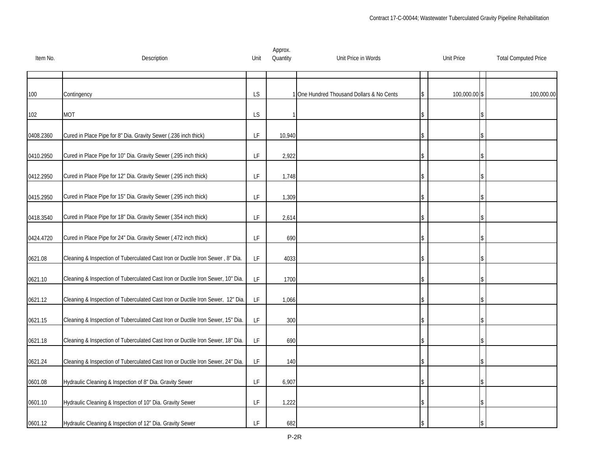| Item No.  | Description                                                                     | Unit                                                                                        | Approx.<br>Quantity | Unit Price in Words                     | <b>Unit Price</b> | <b>Total Computed Price</b> |
|-----------|---------------------------------------------------------------------------------|---------------------------------------------------------------------------------------------|---------------------|-----------------------------------------|-------------------|-----------------------------|
|           |                                                                                 |                                                                                             |                     |                                         |                   |                             |
| 100       | Contingency                                                                     | <b>LS</b>                                                                                   |                     | One Hundred Thousand Dollars & No Cents | 100,000.00 \$     | 100,000.00                  |
| 102       | <b>MOT</b>                                                                      | <b>LS</b>                                                                                   |                     |                                         |                   |                             |
| 0408.2360 | Cured in Place Pipe for 8" Dia. Gravity Sewer (.236 inch thick)                 | LF                                                                                          | 10,940              |                                         |                   |                             |
| 0410.2950 | Cured in Place Pipe for 10" Dia. Gravity Sewer (.295 inch thick)                | LF                                                                                          | 2,922               |                                         |                   |                             |
| 0412.2950 | Cured in Place Pipe for 12" Dia. Gravity Sewer (.295 inch thick)                | LF                                                                                          | 1,748               |                                         |                   |                             |
| 0415.2950 | Cured in Place Pipe for 15" Dia. Gravity Sewer (.295 inch thick)                | LF                                                                                          | 1,309               |                                         |                   |                             |
| 0418.3540 | Cured in Place Pipe for 18" Dia. Gravity Sewer (.354 inch thick)                | LF                                                                                          | 2,614               |                                         |                   |                             |
| 0424.4720 | Cured in Place Pipe for 24" Dia. Gravity Sewer (.472 inch thick)                | LF                                                                                          | 690                 |                                         |                   |                             |
| 0621.08   | Cleaning & Inspection of Tuberculated Cast Iron or Ductile Iron Sewer, 8" Dia.  | LF                                                                                          | 4033                |                                         |                   |                             |
| 0621.10   | Cleaning & Inspection of Tuberculated Cast Iron or Ductile Iron Sewer, 10" Dia. | $\mathsf{LF}% _{0}\left( \mathcal{N}\right) \equiv\mathsf{LF}_{0}\left( \mathcal{N}\right)$ | 1700                |                                         |                   |                             |
| 0621.12   | Cleaning & Inspection of Tuberculated Cast Iron or Ductile Iron Sewer, 12" Dia. | LF                                                                                          | 1,066               |                                         |                   |                             |
| 0621.15   | Cleaning & Inspection of Tuberculated Cast Iron or Ductile Iron Sewer, 15" Dia. | LF                                                                                          | 300                 |                                         |                   |                             |
| 0621.18   | Cleaning & Inspection of Tuberculated Cast Iron or Ductile Iron Sewer, 18" Dia. | $\mathsf{LF}% _{0}\left( \mathcal{N}\right) \equiv\mathsf{LF}_{0}\left( \mathcal{N}\right)$ | 690                 |                                         |                   |                             |
| 0621.24   | Cleaning & Inspection of Tuberculated Cast Iron or Ductile Iron Sewer, 24" Dia. | LF                                                                                          | 140                 |                                         |                   |                             |
| 0601.08   | Hydraulic Cleaning & Inspection of 8" Dia. Gravity Sewer                        | $\mathsf{LF}% _{0}\left( \mathcal{N}\right) \equiv\mathsf{LF}_{0}\left( \mathcal{N}\right)$ | 6,907               |                                         |                   |                             |
| 0601.10   | Hydraulic Cleaning & Inspection of 10" Dia. Gravity Sewer                       | LF                                                                                          | 1,222               |                                         |                   |                             |
| 0601.12   | Hydraulic Cleaning & Inspection of 12" Dia. Gravity Sewer                       | LF                                                                                          | 682                 |                                         |                   |                             |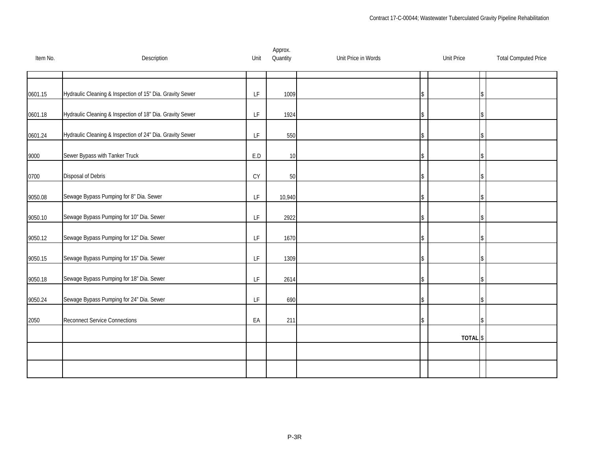| Item No. | Description                                               | Unit                                                                                        | Approx.<br>Quantity | Unit Price in Words | <b>Unit Price</b> | <b>Total Computed Price</b> |
|----------|-----------------------------------------------------------|---------------------------------------------------------------------------------------------|---------------------|---------------------|-------------------|-----------------------------|
|          |                                                           |                                                                                             |                     |                     |                   |                             |
| 0601.15  | Hydraulic Cleaning & Inspection of 15" Dia. Gravity Sewer | LF                                                                                          | 1009                |                     |                   |                             |
| 0601.18  | Hydraulic Cleaning & Inspection of 18" Dia. Gravity Sewer | LF.                                                                                         | 1924                |                     |                   |                             |
| 0601.24  | Hydraulic Cleaning & Inspection of 24" Dia. Gravity Sewer | LF                                                                                          | 550                 |                     |                   |                             |
| 9000     | Sewer Bypass with Tanker Truck                            | E.D                                                                                         | 10                  |                     |                   |                             |
| 0700     | Disposal of Debris                                        | <b>CY</b>                                                                                   | 50                  |                     |                   |                             |
| 9050.08  | Sewage Bypass Pumping for 8" Dia. Sewer                   | LF.                                                                                         | 10,940              |                     |                   |                             |
| 9050.10  | Sewage Bypass Pumping for 10" Dia. Sewer                  | LF                                                                                          | 2922                |                     |                   |                             |
| 9050.12  | Sewage Bypass Pumping for 12" Dia. Sewer                  | $\mathsf{LF}% _{0}\left( \mathcal{N}\right) \equiv\mathsf{LF}_{0}\left( \mathcal{N}\right)$ | 1670                |                     |                   |                             |
| 9050.15  | Sewage Bypass Pumping for 15" Dia. Sewer                  | LF                                                                                          | 1309                |                     |                   |                             |
| 9050.18  | Sewage Bypass Pumping for 18" Dia. Sewer                  | LF                                                                                          | 2614                |                     |                   |                             |
| 9050.24  | Sewage Bypass Pumping for 24" Dia. Sewer                  | LF                                                                                          | 690                 |                     |                   |                             |
| 2050     | <b>Reconnect Service Connections</b>                      | EA                                                                                          | 211                 |                     |                   |                             |
|          |                                                           |                                                                                             |                     |                     | <b>TOTAL</b>      | \$                          |
|          |                                                           |                                                                                             |                     |                     |                   |                             |
|          |                                                           |                                                                                             |                     |                     |                   |                             |